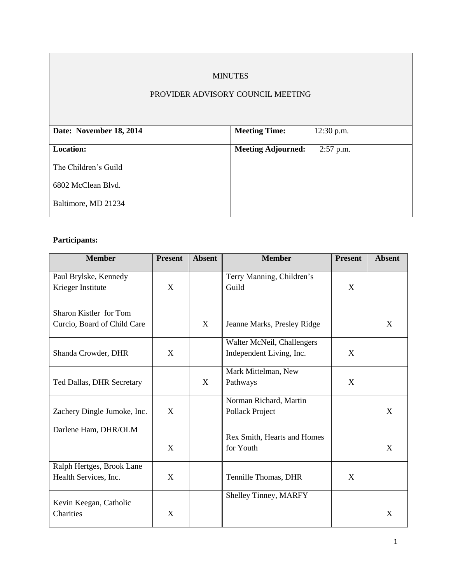# MINUTES

## PROVIDER ADVISORY COUNCIL MEETING

| Date: November 18, 2014 | <b>Meeting Time:</b>      | $12:30$ p.m. |
|-------------------------|---------------------------|--------------|
|                         |                           |              |
| <b>Location:</b>        | <b>Meeting Adjourned:</b> | $2:57$ p.m.  |
|                         |                           |              |
| The Children's Guild    |                           |              |
|                         |                           |              |
| 6802 McClean Blvd.      |                           |              |
|                         |                           |              |
| Baltimore, MD 21234     |                           |              |
|                         |                           |              |

# **Participants:**

| <b>Member</b>                                         | <b>Present</b> | <b>Absent</b> | <b>Member</b>                                          | <b>Present</b> | <b>Absent</b> |
|-------------------------------------------------------|----------------|---------------|--------------------------------------------------------|----------------|---------------|
| Paul Brylske, Kennedy<br>Krieger Institute            | X              |               | Terry Manning, Children's<br>Guild                     | X              |               |
| Sharon Kistler for Tom<br>Curcio, Board of Child Care |                | X             | Jeanne Marks, Presley Ridge                            |                | X             |
| Shanda Crowder, DHR                                   | X              |               | Walter McNeil, Challengers<br>Independent Living, Inc. | X              |               |
| Ted Dallas, DHR Secretary                             |                | X             | Mark Mittelman, New<br>Pathways                        | X              |               |
| Zachery Dingle Jumoke, Inc.                           | X              |               | Norman Richard, Martin<br>Pollack Project              |                | X             |
| Darlene Ham, DHR/OLM                                  | X              |               | Rex Smith, Hearts and Homes<br>for Youth               |                | X             |
| Ralph Hertges, Brook Lane<br>Health Services, Inc.    | X              |               | Tennille Thomas, DHR                                   | X              |               |
| Kevin Keegan, Catholic<br>Charities                   | X              |               | Shelley Tinney, MARFY                                  |                | X             |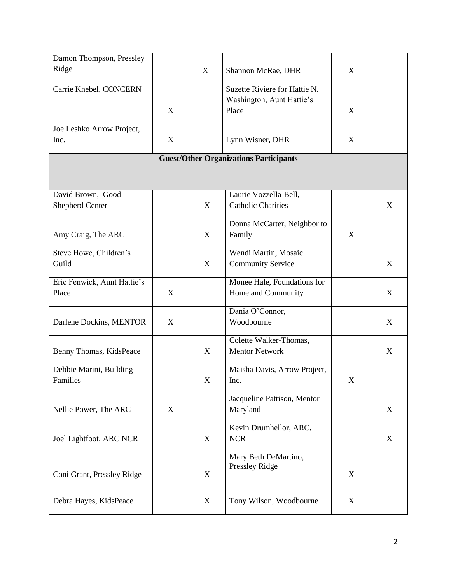| Damon Thompson, Pressley    |   |             |                                               |   |   |
|-----------------------------|---|-------------|-----------------------------------------------|---|---|
| Ridge                       |   | $\mathbf X$ | Shannon McRae, DHR                            | X |   |
|                             |   |             |                                               |   |   |
| Carrie Knebel, CONCERN      |   |             | Suzette Riviere for Hattie N.                 |   |   |
|                             |   |             | Washington, Aunt Hattie's<br>Place            |   |   |
|                             | X |             |                                               | X |   |
| Joe Leshko Arrow Project,   |   |             |                                               |   |   |
| Inc.                        | X |             | Lynn Wisner, DHR                              | X |   |
|                             |   |             |                                               |   |   |
|                             |   |             | <b>Guest/Other Organizations Participants</b> |   |   |
|                             |   |             |                                               |   |   |
|                             |   |             |                                               |   |   |
| David Brown, Good           |   |             | Laurie Vozzella-Bell,                         |   |   |
| <b>Shepherd Center</b>      |   | $\mathbf X$ | <b>Catholic Charities</b>                     |   | X |
|                             |   |             | Donna McCarter, Neighbor to                   |   |   |
| Amy Craig, The ARC          |   | X           | Family                                        | X |   |
|                             |   |             |                                               |   |   |
| Steve Howe, Children's      |   |             | Wendi Martin, Mosaic                          |   |   |
| Guild                       |   | X           | <b>Community Service</b>                      |   | X |
| Eric Fenwick, Aunt Hattie's |   |             | Monee Hale, Foundations for                   |   |   |
| Place                       | X |             | Home and Community                            |   | X |
|                             |   |             |                                               |   |   |
|                             |   |             | Dania O'Connor,                               |   |   |
| Darlene Dockins, MENTOR     | X |             | Woodbourne                                    |   | X |
|                             |   |             | Colette Walker-Thomas,                        |   |   |
| Benny Thomas, KidsPeace     |   | X           | <b>Mentor Network</b>                         |   | X |
|                             |   |             |                                               |   |   |
| Debbie Marini, Building     |   |             | Maisha Davis, Arrow Project,                  |   |   |
| Families                    |   | X           | Inc.                                          | X |   |
|                             |   |             | Jacqueline Pattison, Mentor                   |   |   |
| Nellie Power, The ARC       | X |             | Maryland                                      |   | X |
|                             |   |             |                                               |   |   |
|                             |   |             | Kevin Drumhellor, ARC,                        |   |   |
| Joel Lightfoot, ARC NCR     |   | $\mathbf X$ | <b>NCR</b>                                    |   | X |
|                             |   |             |                                               |   |   |
|                             |   |             | Mary Beth DeMartino,<br>Pressley Ridge        |   |   |
| Coni Grant, Pressley Ridge  |   | $\mathbf X$ |                                               | X |   |
|                             |   |             |                                               |   |   |
| Debra Hayes, KidsPeace      |   | X           | Tony Wilson, Woodbourne                       | X |   |
|                             |   |             |                                               |   |   |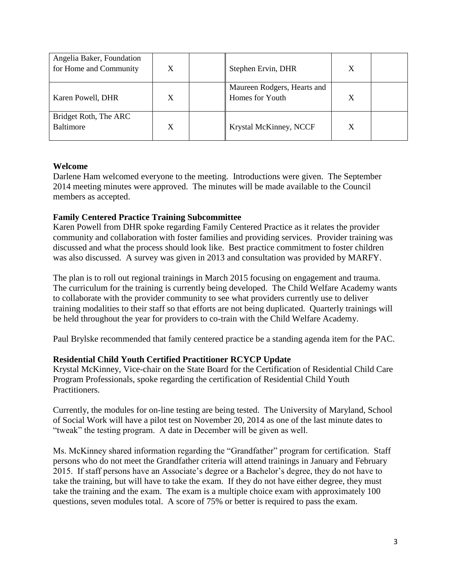| Angelia Baker, Foundation<br>for Home and Community | X | Stephen Ervin, DHR                             |   |  |
|-----------------------------------------------------|---|------------------------------------------------|---|--|
| Karen Powell, DHR                                   | X | Maureen Rodgers, Hearts and<br>Homes for Youth |   |  |
| Bridget Roth, The ARC<br>Baltimore                  | X | Krystal McKinney, NCCF                         | X |  |

### **Welcome**

Darlene Ham welcomed everyone to the meeting. Introductions were given. The September 2014 meeting minutes were approved. The minutes will be made available to the Council members as accepted.

## **Family Centered Practice Training Subcommittee**

Karen Powell from DHR spoke regarding Family Centered Practice as it relates the provider community and collaboration with foster families and providing services. Provider training was discussed and what the process should look like. Best practice commitment to foster children was also discussed. A survey was given in 2013 and consultation was provided by MARFY.

The plan is to roll out regional trainings in March 2015 focusing on engagement and trauma. The curriculum for the training is currently being developed. The Child Welfare Academy wants to collaborate with the provider community to see what providers currently use to deliver training modalities to their staff so that efforts are not being duplicated. Quarterly trainings will be held throughout the year for providers to co-train with the Child Welfare Academy.

Paul Brylske recommended that family centered practice be a standing agenda item for the PAC.

# **Residential Child Youth Certified Practitioner RCYCP Update**

Krystal McKinney, Vice-chair on the State Board for the Certification of Residential Child Care Program Professionals, spoke regarding the certification of Residential Child Youth Practitioners.

Currently, the modules for on-line testing are being tested. The University of Maryland, School of Social Work will have a pilot test on November 20, 2014 as one of the last minute dates to "tweak" the testing program. A date in December will be given as well.

Ms. McKinney shared information regarding the "Grandfather" program for certification. Staff persons who do not meet the Grandfather criteria will attend trainings in January and February 2015. If staff persons have an Associate's degree or a Bachelor's degree, they do not have to take the training, but will have to take the exam. If they do not have either degree, they must take the training and the exam. The exam is a multiple choice exam with approximately 100 questions, seven modules total. A score of 75% or better is required to pass the exam.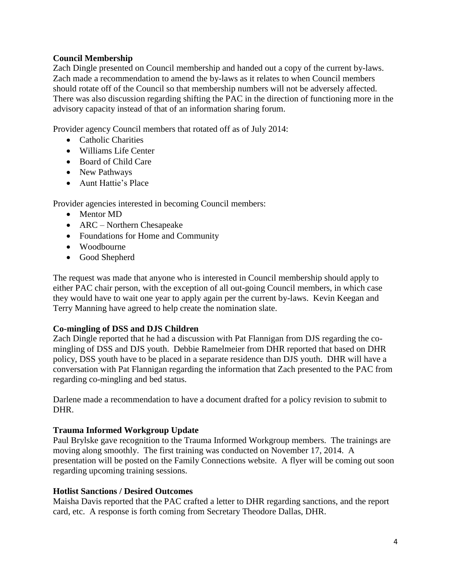### **Council Membership**

Zach Dingle presented on Council membership and handed out a copy of the current by-laws. Zach made a recommendation to amend the by-laws as it relates to when Council members should rotate off of the Council so that membership numbers will not be adversely affected. There was also discussion regarding shifting the PAC in the direction of functioning more in the advisory capacity instead of that of an information sharing forum.

Provider agency Council members that rotated off as of July 2014:

- Catholic Charities
- Williams Life Center
- Board of Child Care
- New Pathways
- Aunt Hattie's Place

Provider agencies interested in becoming Council members:

- Mentor MD
- ARC Northern Chesapeake
- Foundations for Home and Community
- Woodbourne
- Good Shepherd

The request was made that anyone who is interested in Council membership should apply to either PAC chair person, with the exception of all out-going Council members, in which case they would have to wait one year to apply again per the current by-laws. Kevin Keegan and Terry Manning have agreed to help create the nomination slate.

#### **Co-mingling of DSS and DJS Children**

Zach Dingle reported that he had a discussion with Pat Flannigan from DJS regarding the comingling of DSS and DJS youth. Debbie Ramelmeier from DHR reported that based on DHR policy, DSS youth have to be placed in a separate residence than DJS youth. DHR will have a conversation with Pat Flannigan regarding the information that Zach presented to the PAC from regarding co-mingling and bed status.

Darlene made a recommendation to have a document drafted for a policy revision to submit to DHR.

#### **Trauma Informed Workgroup Update**

Paul Brylske gave recognition to the Trauma Informed Workgroup members. The trainings are moving along smoothly. The first training was conducted on November 17, 2014. A presentation will be posted on the Family Connections website. A flyer will be coming out soon regarding upcoming training sessions.

#### **Hotlist Sanctions / Desired Outcomes**

Maisha Davis reported that the PAC crafted a letter to DHR regarding sanctions, and the report card, etc. A response is forth coming from Secretary Theodore Dallas, DHR.